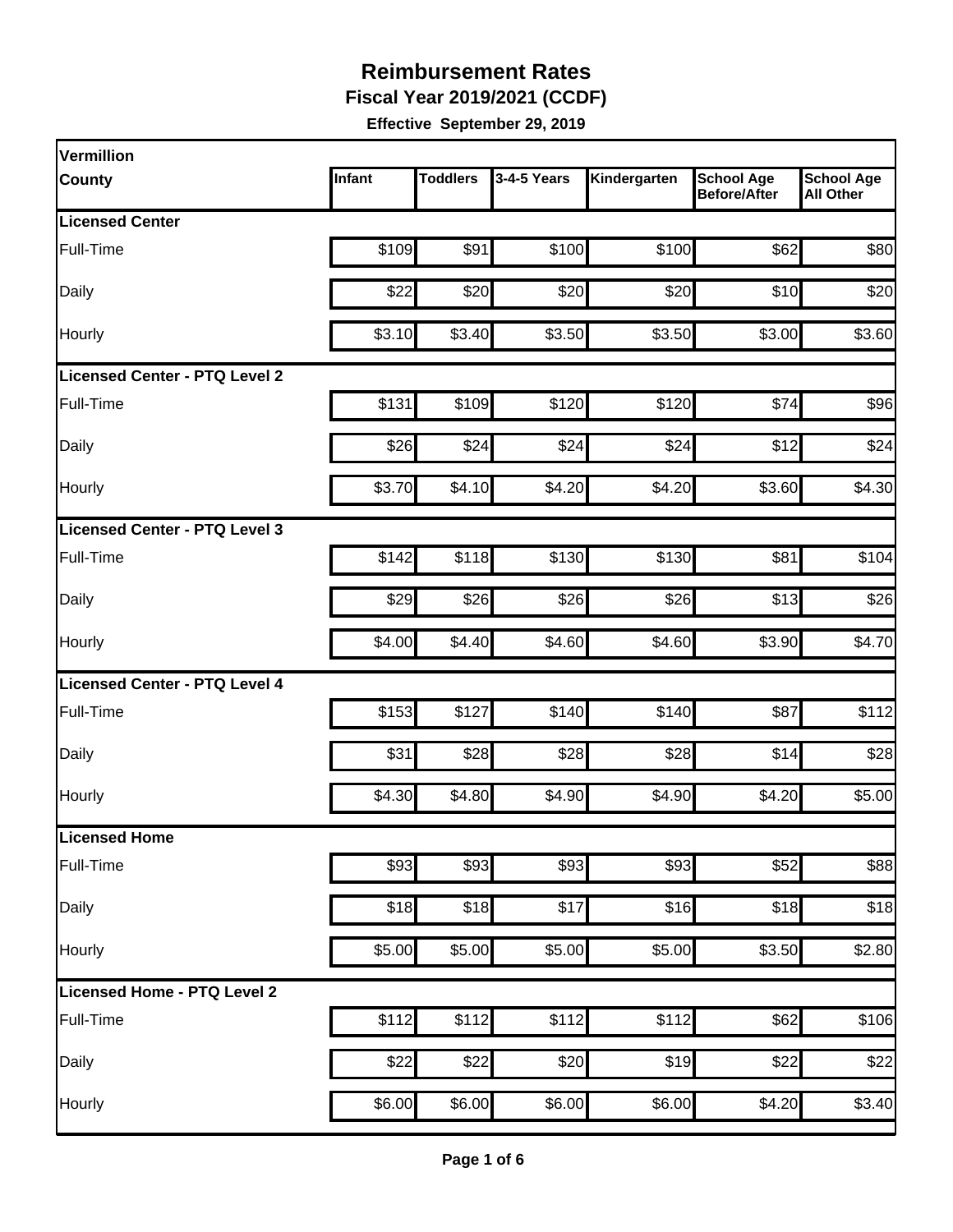**Fiscal Year 2019/2021 (CCDF)**

| Vermillion                    |        |                  |             |              |                                          |                                       |
|-------------------------------|--------|------------------|-------------|--------------|------------------------------------------|---------------------------------------|
| <b>County</b>                 | Infant | <b>Toddlers</b>  | 3-4-5 Years | Kindergarten | <b>School Age</b><br><b>Before/After</b> | <b>School Age</b><br><b>All Other</b> |
| <b>Licensed Center</b>        |        |                  |             |              |                                          |                                       |
| Full-Time                     | \$109  | \$91             | \$100       | \$100        | \$62                                     | \$80                                  |
| Daily                         | \$22   | \$20             | \$20        | \$20         | \$10                                     | \$20                                  |
| Hourly                        | \$3.10 | \$3.40           | \$3.50      | \$3.50       | \$3.00                                   | \$3.60                                |
| Licensed Center - PTQ Level 2 |        |                  |             |              |                                          |                                       |
| Full-Time                     | \$131  | \$109            | \$120       | \$120        | \$74                                     | \$96                                  |
| Daily                         | \$26   | \$24             | \$24        | \$24         | \$12                                     | \$24                                  |
| Hourly                        | \$3.70 | \$4.10           | \$4.20      | \$4.20       | \$3.60                                   | \$4.30                                |
| Licensed Center - PTQ Level 3 |        |                  |             |              |                                          |                                       |
| Full-Time                     | \$142  | \$118            | \$130       | \$130        | \$81                                     | \$104                                 |
| Daily                         | \$29   | \$26             | \$26        | \$26         | \$13                                     | \$26                                  |
| Hourly                        | \$4.00 | \$4.40           | \$4.60      | \$4.60       | \$3.90                                   | \$4.70                                |
| Licensed Center - PTQ Level 4 |        |                  |             |              |                                          |                                       |
| Full-Time                     | \$153  | \$127            | \$140       | \$140        | \$87                                     | \$112                                 |
| Daily                         | \$31   | \$28             | \$28        | \$28         | \$14                                     | \$28                                  |
| Hourly                        | \$4.30 | \$4.80           | \$4.90      | \$4.90       | \$4.20                                   | \$5.00                                |
| <b>Licensed Home</b>          |        |                  |             |              |                                          |                                       |
| Full-Time                     | \$93   | \$93             | \$93        | \$93         | \$52                                     | \$88                                  |
| Daily                         | \$18   | \$18             | \$17        | \$16         | \$18                                     | \$18                                  |
| Hourly                        | \$5.00 | \$5.00           | \$5.00      | \$5.00       | \$3.50                                   | \$2.80                                |
| Licensed Home - PTQ Level 2   |        |                  |             |              |                                          |                                       |
| Full-Time                     | \$112  | \$112]           | \$112       | \$112        | \$62                                     | \$106                                 |
| Daily                         | \$22   | $\overline{$}22$ | \$20        | \$19         | \$22                                     | \$22                                  |
| Hourly                        | \$6.00 | \$6.00           | \$6.00      | \$6.00       | \$4.20                                   | \$3.40                                |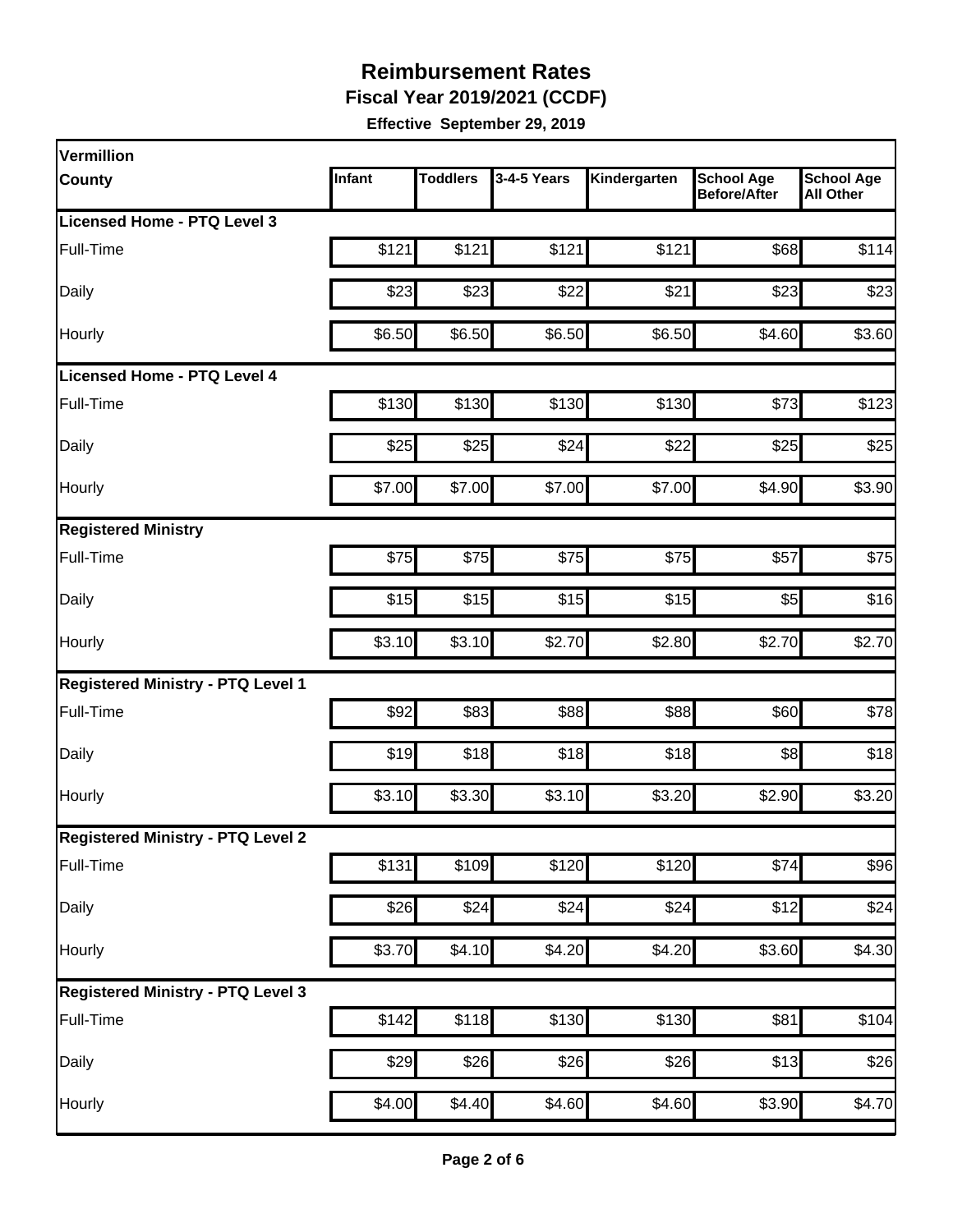**Fiscal Year 2019/2021 (CCDF)**

| Vermillion                               |        |                 |             |              |                                          |                                       |
|------------------------------------------|--------|-----------------|-------------|--------------|------------------------------------------|---------------------------------------|
| <b>County</b>                            | Infant | <b>Toddlers</b> | 3-4-5 Years | Kindergarten | <b>School Age</b><br><b>Before/After</b> | <b>School Age</b><br><b>All Other</b> |
| Licensed Home - PTQ Level 3              |        |                 |             |              |                                          |                                       |
| Full-Time                                | \$121  | \$121           | \$121       | \$121        | \$68                                     | \$114                                 |
| Daily                                    | \$23   | \$23            | \$22        | \$21         | \$23                                     | \$23                                  |
| Hourly                                   | \$6.50 | \$6.50          | \$6.50      | \$6.50       | \$4.60                                   | \$3.60                                |
| <b>Licensed Home - PTQ Level 4</b>       |        |                 |             |              |                                          |                                       |
| Full-Time                                | \$130  | \$130           | \$130       | \$130        | \$73                                     | \$123                                 |
| Daily                                    | \$25   | \$25            | \$24        | \$22         | \$25                                     | \$25                                  |
| Hourly                                   | \$7.00 | \$7.00          | \$7.00      | \$7.00       | \$4.90                                   | \$3.90                                |
| <b>Registered Ministry</b>               |        |                 |             |              |                                          |                                       |
| Full-Time                                | \$75   | \$75            | \$75        | \$75         | \$57                                     | \$75                                  |
| Daily                                    | \$15   | \$15            | \$15        | \$15         | \$5                                      | \$16                                  |
| Hourly                                   | \$3.10 | \$3.10          | \$2.70      | \$2.80       | \$2.70                                   | \$2.70                                |
| <b>Registered Ministry - PTQ Level 1</b> |        |                 |             |              |                                          |                                       |
| Full-Time                                | \$92   | \$83            | \$88        | \$88         | \$60                                     | \$78                                  |
| Daily                                    | \$19   | \$18            | \$18        | \$18         | 88                                       | \$18                                  |
| Hourly                                   | \$3.10 | \$3.30          | \$3.10      | \$3.20       | \$2.90                                   | \$3.20                                |
| <b>Registered Ministry - PTQ Level 2</b> |        |                 |             |              |                                          |                                       |
| Full-Time                                | \$131  | \$109           | \$120       | \$120        | \$74                                     | \$96                                  |
| Daily                                    | \$26   | \$24            | \$24        | \$24         | \$12                                     | \$24                                  |
| Hourly                                   | \$3.70 | \$4.10          | \$4.20      | \$4.20       | \$3.60                                   | \$4.30                                |
| <b>Registered Ministry - PTQ Level 3</b> |        |                 |             |              |                                          |                                       |
| Full-Time                                | \$142  | \$118           | \$130       | \$130        | \$81                                     | \$104                                 |
| Daily                                    | \$29   | \$26            | \$26        | \$26         | \$13                                     | \$26                                  |
| Hourly                                   | \$4.00 | \$4.40          | \$4.60      | \$4.60       | \$3.90                                   | \$4.70                                |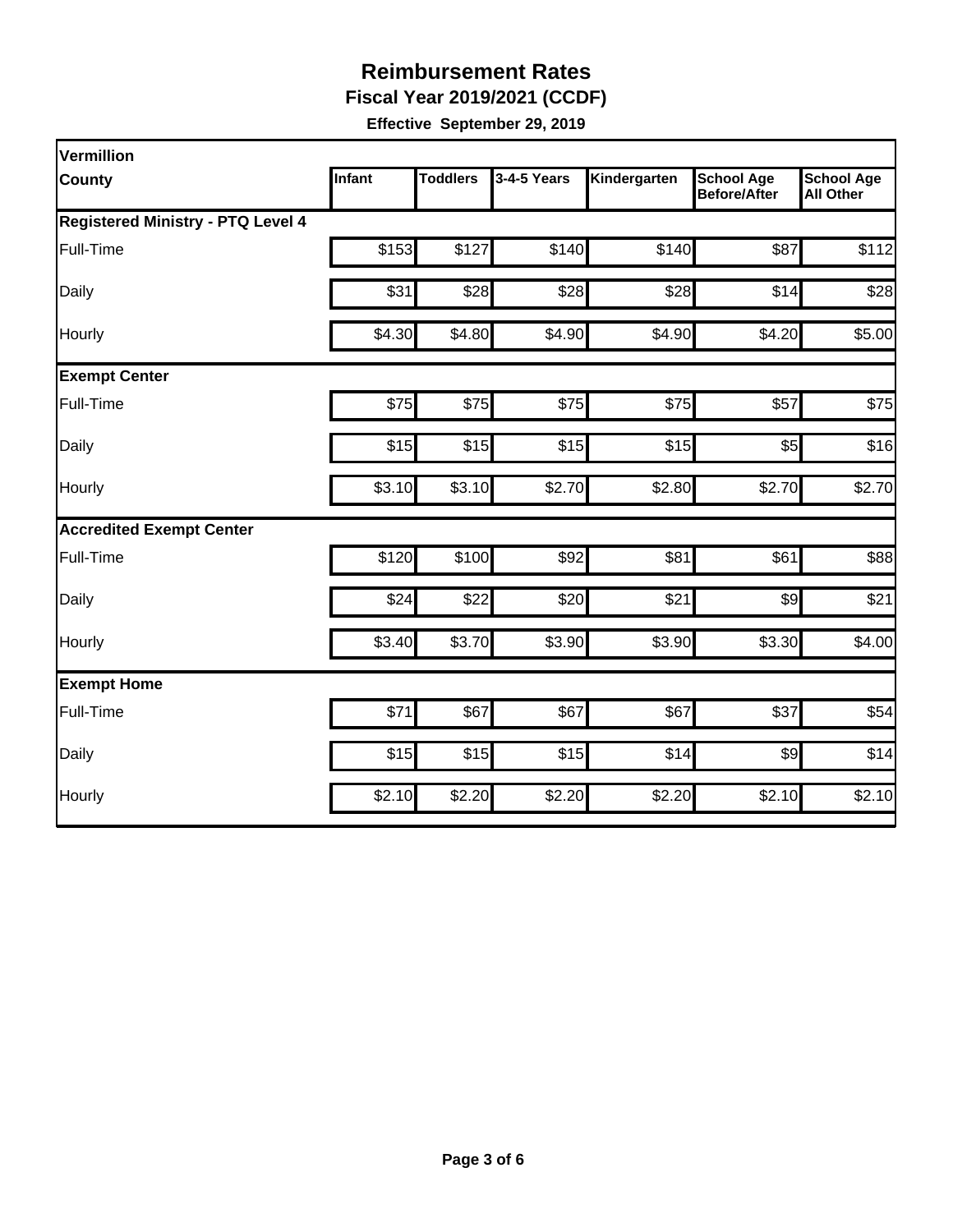**Fiscal Year 2019/2021 (CCDF)**

| Vermillion                               |        |                 |             |              |                                          |                                       |
|------------------------------------------|--------|-----------------|-------------|--------------|------------------------------------------|---------------------------------------|
| <b>County</b>                            | Infant | <b>Toddlers</b> | 3-4-5 Years | Kindergarten | <b>School Age</b><br><b>Before/After</b> | <b>School Age</b><br><b>All Other</b> |
| <b>Registered Ministry - PTQ Level 4</b> |        |                 |             |              |                                          |                                       |
| Full-Time                                | \$153  | \$127           | \$140       | \$140        | \$87                                     | \$112                                 |
| Daily                                    | \$31   | \$28            | \$28        | \$28         | \$14                                     | \$28                                  |
| Hourly                                   | \$4.30 | \$4.80          | \$4.90      | \$4.90       | \$4.20                                   | \$5.00                                |
| <b>Exempt Center</b>                     |        |                 |             |              |                                          |                                       |
| Full-Time                                | \$75   | \$75            | \$75        | \$75         | \$57                                     | \$75                                  |
| Daily                                    | \$15   | \$15            | \$15        | \$15         | \$5                                      | \$16                                  |
| Hourly                                   | \$3.10 | \$3.10          | \$2.70      | \$2.80       | \$2.70                                   | \$2.70                                |
| <b>Accredited Exempt Center</b>          |        |                 |             |              |                                          |                                       |
| Full-Time                                | \$120  | \$100           | \$92        | \$81         | \$61                                     | \$88                                  |
| Daily                                    | \$24   | \$22            | \$20        | \$21         | $\frac{1}{2}$                            | \$21                                  |
| Hourly                                   | \$3.40 | \$3.70          | \$3.90      | \$3.90       | \$3.30                                   | \$4.00                                |
| <b>Exempt Home</b>                       |        |                 |             |              |                                          |                                       |
| Full-Time                                | \$71   | \$67            | \$67        | \$67         | \$37                                     | \$54                                  |
| Daily                                    | \$15   | \$15            | \$15        | \$14         | $\frac{1}{2}$                            | \$14                                  |
| Hourly                                   | \$2.10 | \$2.20          | \$2.20      | \$2.20       | \$2.10                                   | \$2.10                                |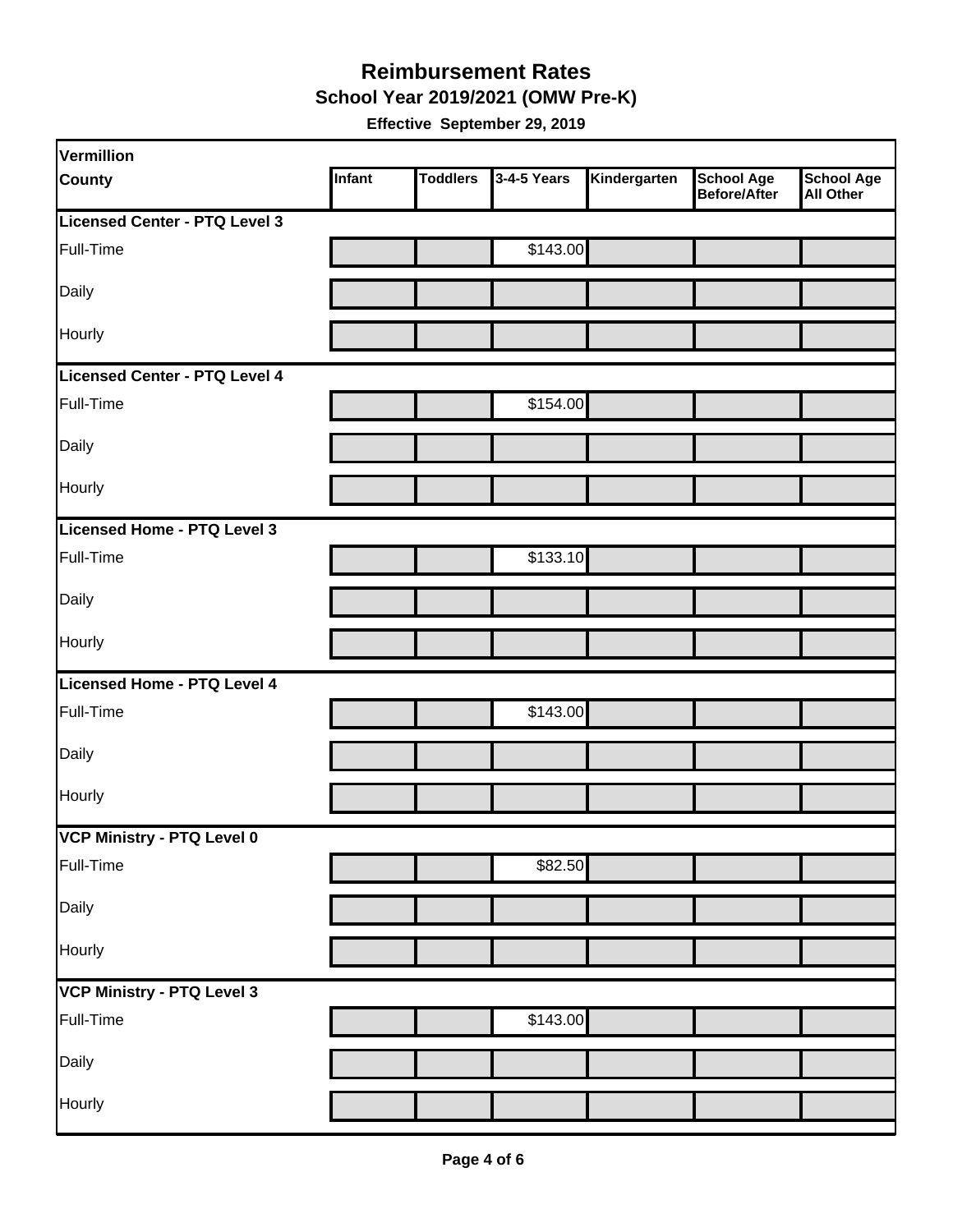#### **School Year 2019/2021 (OMW Pre-K) Reimbursement Rates**

| Vermillion                    |        |                 |             |              |                                          |                                       |
|-------------------------------|--------|-----------------|-------------|--------------|------------------------------------------|---------------------------------------|
| <b>County</b>                 | Infant | <b>Toddlers</b> | 3-4-5 Years | Kindergarten | <b>School Age</b><br><b>Before/After</b> | <b>School Age</b><br><b>All Other</b> |
| Licensed Center - PTQ Level 3 |        |                 |             |              |                                          |                                       |
| Full-Time                     |        |                 | \$143.00    |              |                                          |                                       |
| Daily                         |        |                 |             |              |                                          |                                       |
| <b>Hourly</b>                 |        |                 |             |              |                                          |                                       |
| Licensed Center - PTQ Level 4 |        |                 |             |              |                                          |                                       |
| Full-Time                     |        |                 | \$154.00    |              |                                          |                                       |
| Daily                         |        |                 |             |              |                                          |                                       |
| Hourly                        |        |                 |             |              |                                          |                                       |
| Licensed Home - PTQ Level 3   |        |                 |             |              |                                          |                                       |
| Full-Time                     |        |                 | \$133.10    |              |                                          |                                       |
| Daily                         |        |                 |             |              |                                          |                                       |
| Hourly                        |        |                 |             |              |                                          |                                       |
| Licensed Home - PTQ Level 4   |        |                 |             |              |                                          |                                       |
| Full-Time                     |        |                 | \$143.00    |              |                                          |                                       |
| Daily                         |        |                 |             |              |                                          |                                       |
| Hourly                        |        |                 |             |              |                                          |                                       |
| VCP Ministry - PTQ Level 0    |        |                 |             |              |                                          |                                       |
| Full-Time                     |        |                 | \$82.50     |              |                                          |                                       |
| Daily                         |        |                 |             |              |                                          |                                       |
| Hourly                        |        |                 |             |              |                                          |                                       |
| VCP Ministry - PTQ Level 3    |        |                 |             |              |                                          |                                       |
| Full-Time                     |        |                 | \$143.00    |              |                                          |                                       |
| Daily                         |        |                 |             |              |                                          |                                       |
| Hourly                        |        |                 |             |              |                                          |                                       |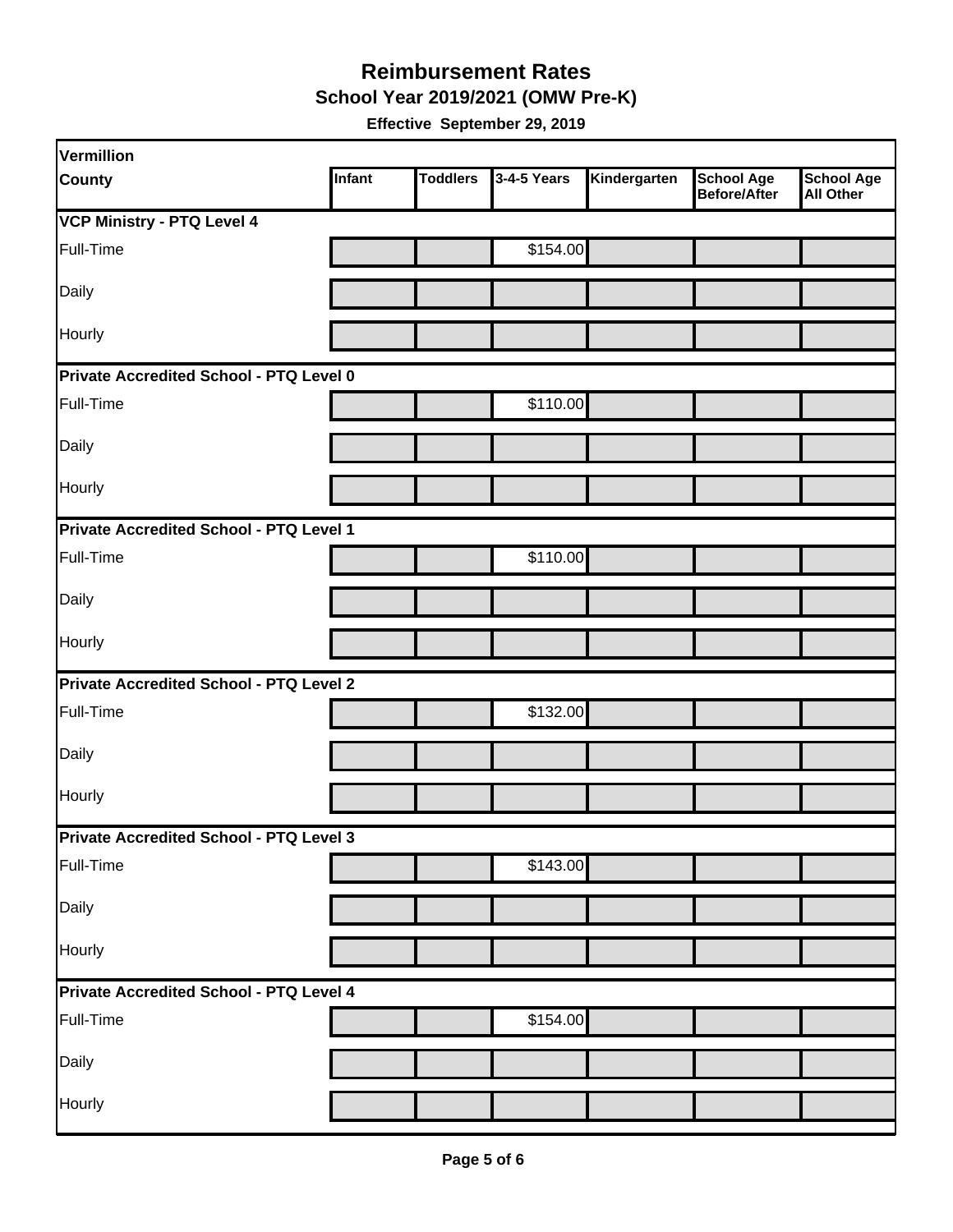**School Year 2019/2021 (OMW Pre-K)**

| Vermillion                              |        |                 |             |              |                                          |                                       |  |  |
|-----------------------------------------|--------|-----------------|-------------|--------------|------------------------------------------|---------------------------------------|--|--|
| <b>County</b>                           | Infant | <b>Toddlers</b> | 3-4-5 Years | Kindergarten | <b>School Age</b><br><b>Before/After</b> | <b>School Age</b><br><b>All Other</b> |  |  |
| <b>VCP Ministry - PTQ Level 4</b>       |        |                 |             |              |                                          |                                       |  |  |
| Full-Time                               |        |                 | \$154.00    |              |                                          |                                       |  |  |
| Daily                                   |        |                 |             |              |                                          |                                       |  |  |
| Hourly                                  |        |                 |             |              |                                          |                                       |  |  |
| Private Accredited School - PTQ Level 0 |        |                 |             |              |                                          |                                       |  |  |
| Full-Time                               |        |                 | \$110.00    |              |                                          |                                       |  |  |
| Daily                                   |        |                 |             |              |                                          |                                       |  |  |
| Hourly                                  |        |                 |             |              |                                          |                                       |  |  |
| Private Accredited School - PTQ Level 1 |        |                 |             |              |                                          |                                       |  |  |
| Full-Time                               |        |                 | \$110.00    |              |                                          |                                       |  |  |
| Daily                                   |        |                 |             |              |                                          |                                       |  |  |
| <b>Hourly</b>                           |        |                 |             |              |                                          |                                       |  |  |
| Private Accredited School - PTQ Level 2 |        |                 |             |              |                                          |                                       |  |  |
| Full-Time                               |        |                 | \$132.00    |              |                                          |                                       |  |  |
| Daily                                   |        |                 |             |              |                                          |                                       |  |  |
| Hourly                                  |        |                 |             |              |                                          |                                       |  |  |
| Private Accredited School - PTQ Level 3 |        |                 |             |              |                                          |                                       |  |  |
| Full-Time                               |        |                 | \$143.00    |              |                                          |                                       |  |  |
| Daily                                   |        |                 |             |              |                                          |                                       |  |  |
| Hourly                                  |        |                 |             |              |                                          |                                       |  |  |
| Private Accredited School - PTQ Level 4 |        |                 |             |              |                                          |                                       |  |  |
| Full-Time                               |        |                 | \$154.00    |              |                                          |                                       |  |  |
| Daily                                   |        |                 |             |              |                                          |                                       |  |  |
| Hourly                                  |        |                 |             |              |                                          |                                       |  |  |